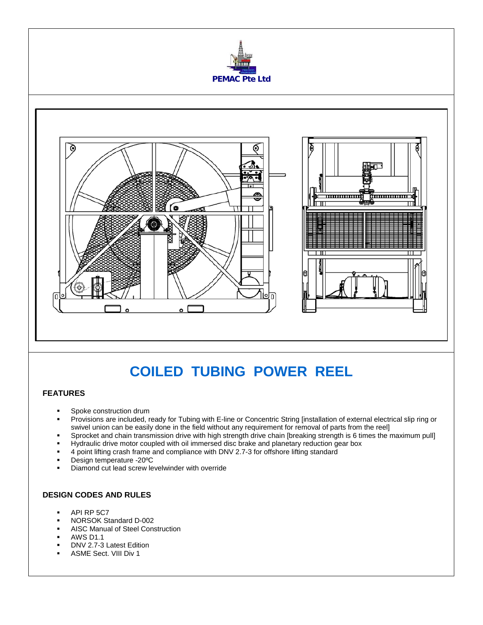



## **COILED TUBING POWER REEL**

## **FEATURES**

- Spoke construction drum
- Provisions are included, ready for Tubing with E-line or Concentric String [installation of external electrical slip ring or swivel union can be easily done in the field without any requirement for removal of parts from the reel]
- Sprocket and chain transmission drive with high strength drive chain [breaking strength is 6 times the maximum pull]
- Hydraulic drive motor coupled with oil immersed disc brake and planetary reduction gear box
- 4 point lifting crash frame and compliance with DNV 2.7-3 for offshore lifting standard
- Design temperature -20ºC
- Diamond cut lead screw levelwinder with override

## **DESIGN CODES AND RULES**

- API RP 5C7
- NORSOK Standard D-002
- AISC Manual of Steel Construction
- AWS D1.1
- DNV 2.7-3 Latest Edition
- ASME Sect. VIII Div 1